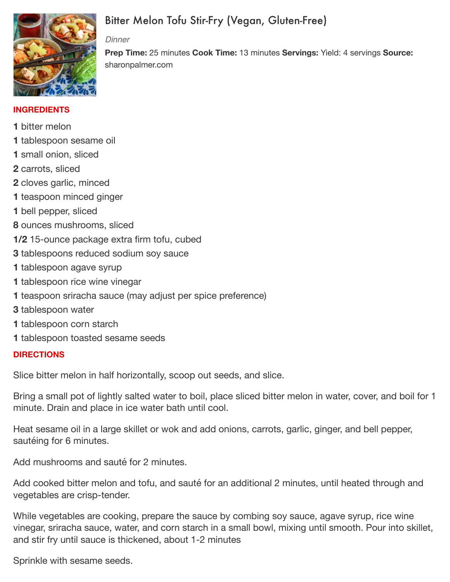

# Bitter Melon Tofu Stir-Fry (Vegan, Gluten-Free)

#### *Dinner*

**Prep Time:** 25 minutes **Cook Time:** 13 minutes **Servings:** Yield: 4 servings **Source:** sharonpalmer.com

### **INGREDIENTS**

- **1** bitter melon
- **1** tablespoon sesame oil
- **1** small onion, sliced
- **2** carrots, sliced
- **2** cloves garlic, minced
- **1** teaspoon minced ginger
- **1** bell pepper, sliced
- **8** ounces mushrooms, sliced
- **1/2** 15-ounce package extra firm tofu, cubed
- **3** tablespoons reduced sodium soy sauce
- **1** tablespoon agave syrup
- **1** tablespoon rice wine vinegar
- **1** teaspoon sriracha sauce (may adjust per spice preference)
- **3** tablespoon water
- **1** tablespoon corn starch
- **1** tablespoon toasted sesame seeds

## **DIRECTIONS**

Slice bitter melon in half horizontally, scoop out seeds, and slice.

Bring a small pot of lightly salted water to boil, place sliced bitter melon in water, cover, and boil for 1 minute. Drain and place in ice water bath until cool.

Heat sesame oil in a large skillet or wok and add onions, carrots, garlic, ginger, and bell pepper, sautéing for 6 minutes.

Add mushrooms and sauté for 2 minutes.

Add cooked bitter melon and tofu, and sauté for an additional 2 minutes, until heated through and vegetables are crisp-tender.

While vegetables are cooking, prepare the sauce by combing soy sauce, agave syrup, rice wine vinegar, sriracha sauce, water, and corn starch in a small bowl, mixing until smooth. Pour into skillet, and stir fry until sauce is thickened, about 1-2 minutes

Sprinkle with sesame seeds.